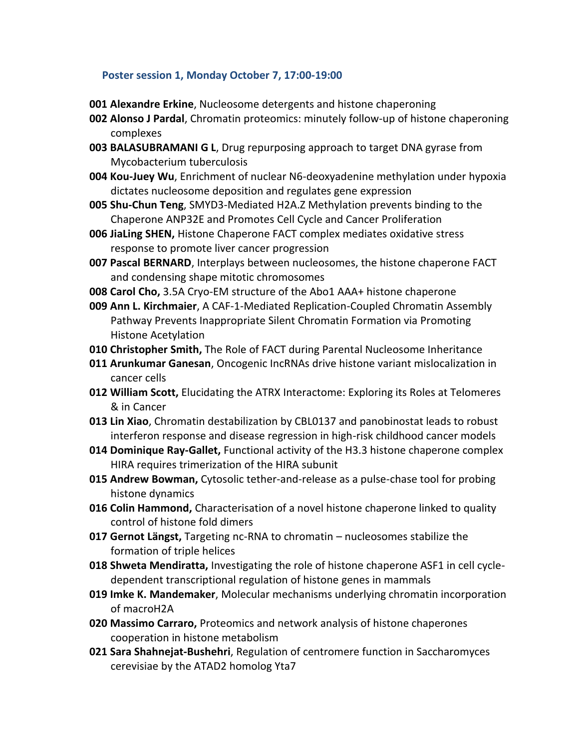## **Poster session 1, Monday October 7, 17:00-19:00**

- **001 Alexandre Erkine**, Nucleosome detergents and histone chaperoning
- **002 Alonso J Pardal**, Chromatin proteomics: minutely follow-up of histone chaperoning complexes
- **003 BALASUBRAMANI G L**, Drug repurposing approach to target DNA gyrase from Mycobacterium tuberculosis
- **004 Kou-Juey Wu**, Enrichment of nuclear N6-deoxyadenine methylation under hypoxia dictates nucleosome deposition and regulates gene expression
- **005 Shu-Chun Teng**, SMYD3-Mediated H2A.Z Methylation prevents binding to the Chaperone ANP32E and Promotes Cell Cycle and Cancer Proliferation
- **006 JiaLing SHEN,** Histone Chaperone FACT complex mediates oxidative stress response to promote liver cancer progression
- **007 Pascal BERNARD**, Interplays between nucleosomes, the histone chaperone FACT and condensing shape mitotic chromosomes
- **008 Carol Cho,** 3.5A Cryo-EM structure of the Abo1 AAA+ histone chaperone
- **009 Ann L. Kirchmaier**, A CAF-1-Mediated Replication-Coupled Chromatin Assembly Pathway Prevents Inappropriate Silent Chromatin Formation via Promoting Histone Acetylation
- **010 Christopher Smith,** The Role of FACT during Parental Nucleosome Inheritance
- **011 Arunkumar Ganesan**, Oncogenic IncRNAs drive histone variant mislocalization in cancer cells
- **012 William Scott,** Elucidating the ATRX Interactome: Exploring its Roles at Telomeres & in Cancer
- **013 Lin Xiao**, Chromatin destabilization by CBL0137 and panobinostat leads to robust interferon response and disease regression in high-risk childhood cancer models
- **014 Dominique Ray-Gallet,** Functional activity of the H3.3 histone chaperone complex HIRA requires trimerization of the HIRA subunit
- **015 Andrew Bowman,** Cytosolic tether-and-release as a pulse-chase tool for probing histone dynamics
- **016 Colin Hammond,** Characterisation of a novel histone chaperone linked to quality control of histone fold dimers
- **017 Gernot Längst,** Targeting nc-RNA to chromatin nucleosomes stabilize the formation of triple helices
- **018 Shweta Mendiratta,** Investigating the role of histone chaperone ASF1 in cell cycledependent transcriptional regulation of histone genes in mammals
- **019 Imke K. Mandemaker**, Molecular mechanisms underlying chromatin incorporation of macroH2A
- **020 Massimo Carraro,** Proteomics and network analysis of histone chaperones cooperation in histone metabolism
- **021 Sara Shahnejat-Bushehri**, Regulation of centromere function in Saccharomyces cerevisiae by the ATAD2 homolog Yta7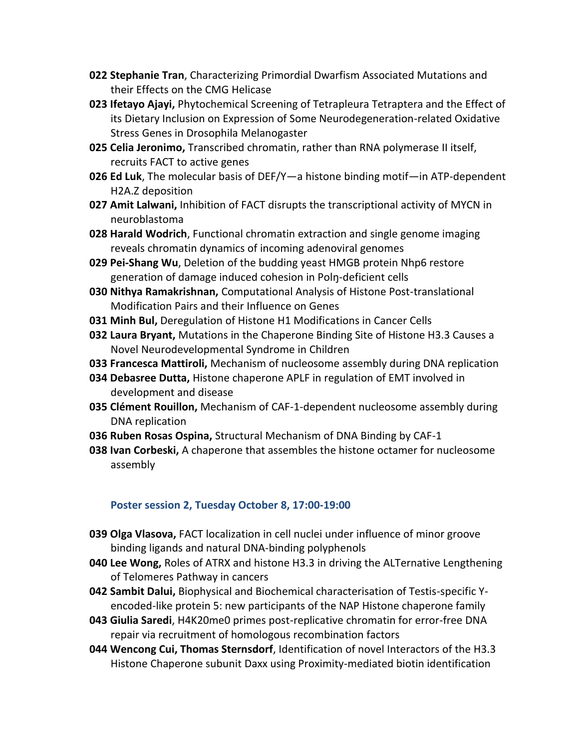- **022 Stephanie Tran**, Characterizing Primordial Dwarfism Associated Mutations and their Effects on the CMG Helicase
- **023 Ifetayo Ajayi,** Phytochemical Screening of Tetrapleura Tetraptera and the Effect of its Dietary Inclusion on Expression of Some Neurodegeneration-related Oxidative Stress Genes in Drosophila Melanogaster
- **025 Celia Jeronimo,** Transcribed chromatin, rather than RNA polymerase II itself, recruits FACT to active genes
- **026 Ed Luk**, The molecular basis of DEF/Y—a histone binding motif—in ATP-dependent H2A.Z deposition
- **027 Amit Lalwani,** Inhibition of FACT disrupts the transcriptional activity of MYCN in neuroblastoma
- **028 Harald Wodrich**, Functional chromatin extraction and single genome imaging reveals chromatin dynamics of incoming adenoviral genomes
- **029 Pei-Shang Wu**, Deletion of the budding yeast HMGB protein Nhp6 restore generation of damage induced cohesion in Polŋ-deficient cells
- **030 Nithya Ramakrishnan,** Computational Analysis of Histone Post-translational Modification Pairs and their Influence on Genes
- **031 Minh Bul,** Deregulation of Histone H1 Modifications in Cancer Cells
- **032 Laura Bryant,** Mutations in the Chaperone Binding Site of Histone H3.3 Causes a Novel Neurodevelopmental Syndrome in Children
- **033 Francesca Mattiroli,** Mechanism of nucleosome assembly during DNA replication
- **034 Debasree Dutta,** Histone chaperone APLF in regulation of EMT involved in development and disease
- **035 Clément Rouillon,** Mechanism of CAF-1-dependent nucleosome assembly during DNA replication
- **036 Ruben Rosas Ospina,** Structural Mechanism of DNA Binding by CAF-1
- **038 Ivan Corbeski,** A chaperone that assembles the histone octamer for nucleosome assembly

## **Poster session 2, Tuesday October 8, 17:00-19:00**

- **039 Olga Vlasova,** FACT localization in cell nuclei under influence of minor groove binding ligands and natural DNA-binding polyphenols
- **040 Lee Wong,** Roles of ATRX and histone H3.3 in driving the ALTernative Lengthening of Telomeres Pathway in cancers.
- **042 Sambit Dalui,** Biophysical and Biochemical characterisation of Testis-specific Yencoded-like protein 5: new participants of the NAP Histone chaperone family
- **043 Giulia Saredi**, H4K20me0 primes post-replicative chromatin for error-free DNA repair via recruitment of homologous recombination factors
- **044 Wencong Cui, Thomas Sternsdorf**, Identification of novel Interactors of the H3.3 Histone Chaperone subunit Daxx using Proximity-mediated biotin identification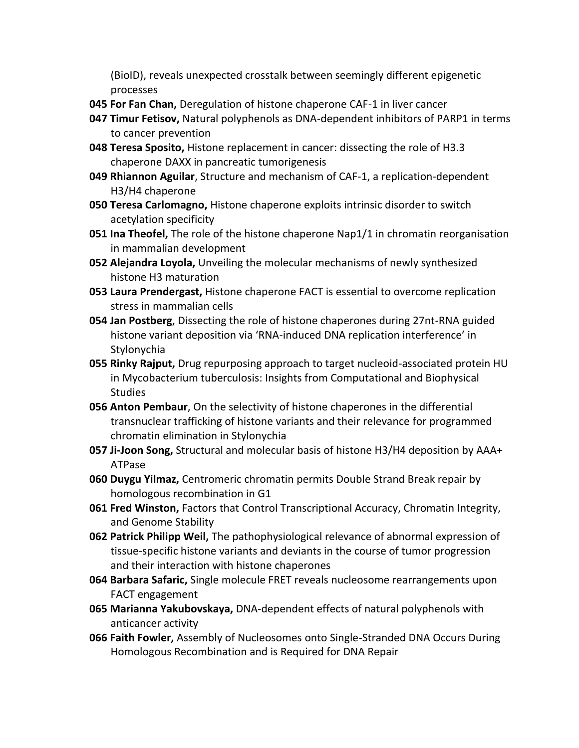(BioID), reveals unexpected crosstalk between seemingly different epigenetic processes

- **045 For Fan Chan,** Deregulation of histone chaperone CAF-1 in liver cancer
- **047 Timur Fetisov,** Natural polyphenols as DNA-dependent inhibitors of PARP1 in terms to cancer prevention
- **048 Teresa Sposito,** Histone replacement in cancer: dissecting the role of H3.3 chaperone DAXX in pancreatic tumorigenesis
- **049 Rhiannon Aguilar**, Structure and mechanism of CAF-1, a replication-dependent H3/H4 chaperone
- **050 Teresa Carlomagno,** Histone chaperone exploits intrinsic disorder to switch acetylation specificity
- **051 Ina Theofel,** The role of the histone chaperone Nap1/1 in chromatin reorganisation in mammalian development
- **052 Alejandra Loyola,** Unveiling the molecular mechanisms of newly synthesized histone H3 maturation
- **053 Laura Prendergast,** Histone chaperone FACT is essential to overcome replication stress in mammalian cells
- **054 Jan Postberg**, Dissecting the role of histone chaperones during 27nt-RNA guided histone variant deposition via 'RNA-induced DNA replication interference' in Stylonychia
- **055 Rinky Rajput,** Drug repurposing approach to target nucleoid-associated protein HU in Mycobacterium tuberculosis: Insights from Computational and Biophysical **Studies**
- **056 Anton Pembaur**, On the selectivity of histone chaperones in the differential transnuclear trafficking of histone variants and their relevance for programmed chromatin elimination in Stylonychia
- **057 Ji-Joon Song,** Structural and molecular basis of histone H3/H4 deposition by AAA+ ATPase
- **060 Duygu Yilmaz,** Centromeric chromatin permits Double Strand Break repair by homologous recombination in G1
- **061 Fred Winston,** Factors that Control Transcriptional Accuracy, Chromatin Integrity, and Genome Stability
- **062 Patrick Philipp Weil,** The pathophysiological relevance of abnormal expression of tissue-specific histone variants and deviants in the course of tumor progression and their interaction with histone chaperones
- **064 Barbara Safaric,** Single molecule FRET reveals nucleosome rearrangements upon FACT engagement
- **065 Marianna Yakubovskaya,** DNA-dependent effects of natural polyphenols with anticancer activity
- **066 Faith Fowler,** Assembly of Nucleosomes onto Single-Stranded DNA Occurs During Homologous Recombination and is Required for DNA Repair